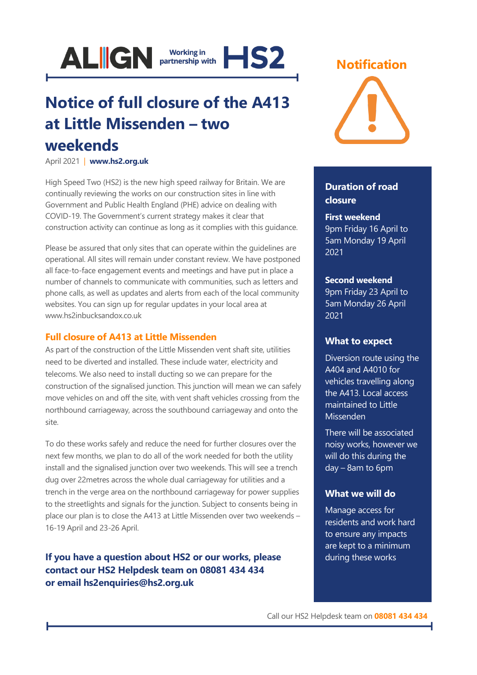

## **Notice of full closure of the A413 at Little Missenden – two weekends**

April 2021 | **[www.hs2.org.uk](http://www.hs2.org.uk/)**

High Speed Two (HS2) is the new high speed railway for Britain. We are continually reviewing the works on our construction sites in line with Government and Public Health England (PHE) advice on dealing with COVID-19. The Government's current strategy makes it clear that construction activity can continue as long as it complies with this guidance.

Please be assured that only sites that can operate within the guidelines are operational. All sites will remain under constant review. We have postponed all face-to-face engagement events and meetings and have put in place a number of channels to communicate with communities, such as letters and phone calls, as well as updates and alerts from each of the local community websites. You can sign up for regular updates in your local area at www.hs2inbucksandox.co.uk

### **Full closure of A413 at Little Missenden**

As part of the construction of the Little Missenden vent shaft site, utilities need to be diverted and installed. These include water, electricity and telecoms. We also need to install ducting so we can prepare for the construction of the signalised junction. This junction will mean we can safely move vehicles on and off the site, with vent shaft vehicles crossing from the northbound carriageway, across the southbound carriageway and onto the site.

To do these works safely and reduce the need for further closures over the next few months, we plan to do all of the work needed for both the utility install and the signalised junction over two weekends. This will see a trench dug over 22metres across the whole dual carriageway for utilities and a trench in the verge area on the northbound carriageway for power supplies to the streetlights and signals for the junction. Subject to consents being in place our plan is to close the A413 at Little Missenden over two weekends – 16-19 April and 23-26 April.

**If you have a question about HS2 or our works, please contact our HS2 Helpdesk team on 08081 434 434 or email hs2enquiries@hs2.org.uk**

### **Notification**



### **Duration of road closure**

### **First weekend**

9pm Friday 16 April to 5am Monday 19 April 2021

### **Second weekend**

9pm Friday 23 April to 5am Monday 26 April 2021

### **What to expect**

Diversion route using the A404 and A4010 for vehicles travelling along the A413. Local access maintained to Little Missenden

There will be associated noisy works, however we will do this during the day – 8am to 6pm

### **What we will do**

Manage access for residents and work hard to ensure any impacts are kept to a minimum during these works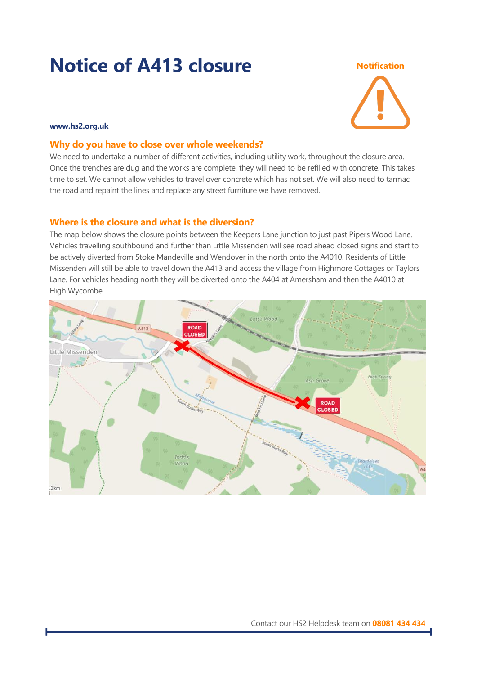# **Notice of A413 closure Notification**



### **www.hs2.org.uk**

### **Why do you have to close over whole weekends?**

We need to undertake a number of different activities, including utility work, throughout the closure area. Once the trenches are dug and the works are complete, they will need to be refilled with concrete. This takes time to set. We cannot allow vehicles to travel over concrete which has not set. We will also need to tarmac the road and repaint the lines and replace any street furniture we have removed.

### **Where is the closure and what is the diversion?**

The map below shows the closure points between the Keepers Lane junction to just past Pipers Wood Lane. Vehicles travelling southbound and further than Little Missenden will see road ahead closed signs and start to be actively diverted from Stoke Mandeville and Wendover in the north onto the A4010. Residents of Little Missenden will still be able to travel down the A413 and access the village from Highmore Cottages or Taylors Lane. For vehicles heading north they will be diverted onto the A404 at Amersham and then the A4010 at High Wycombe.

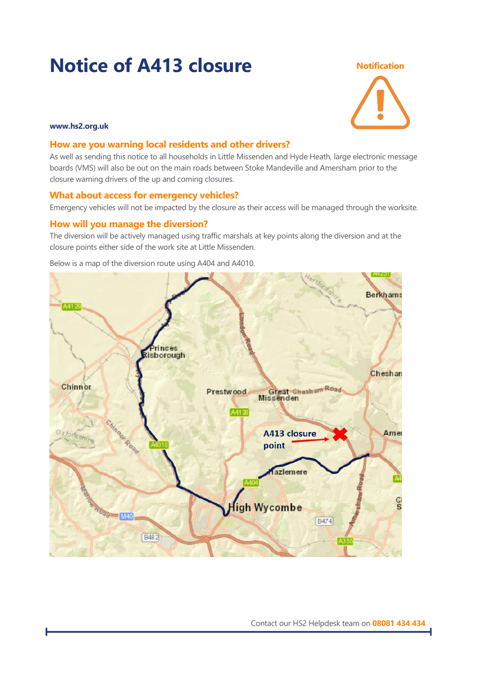# **Notice of A413 closure Notification**



### **www.hs2.org.uk**

### **How are you warning local residents and other drivers?**

As well as sending this notice to all households in Little Missenden and Hyde Heath, large electronic message boards (VMS) will also be out on the main roads between Stoke Mandeville and Amersham prior to the closure warning drivers of the up and coming closures.

### **What about access for emergency vehicles?**

Emergency vehicles will not be impacted by the closure as their access will be managed through the worksite.

### **How will you manage the diversion?**

The diversion will be actively managed using traffic marshals at key points along the diversion and at the closure points either side of the work site at Little Missenden.



Below is a map of the diversion route using A404 and A4010.